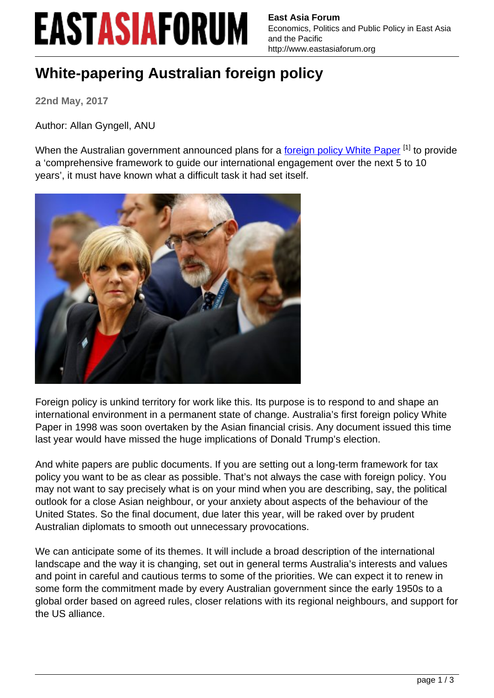## **EASTASIAFORUM**

**East Asia Forum** Economics, Politics and Public Policy in East Asia and the Pacific http://www.eastasiaforum.org

## **White-papering Australian foreign policy**

**22nd May, 2017**

Author: Allan Gyngell, ANU

When the Australian government announced plans for a [foreign policy White Paper](http://dfat.gov.au/whitepaper/index.html)<sup>[1]</sup> to provide a 'comprehensive framework to guide our international engagement over the next 5 to 10 years', it must have known what a difficult task it had set itself.



Foreign policy is unkind territory for work like this. Its purpose is to respond to and shape an international environment in a permanent state of change. Australia's first foreign policy White Paper in 1998 was soon overtaken by the Asian financial crisis. Any document issued this time last year would have missed the huge implications of Donald Trump's election.

And white papers are public documents. If you are setting out a long-term framework for tax policy you want to be as clear as possible. That's not always the case with foreign policy. You may not want to say precisely what is on your mind when you are describing, say, the political outlook for a close Asian neighbour, or your anxiety about aspects of the behaviour of the United States. So the final document, due later this year, will be raked over by prudent Australian diplomats to smooth out unnecessary provocations.

We can anticipate some of its themes. It will include a broad description of the international landscape and the way it is changing, set out in general terms Australia's interests and values and point in careful and cautious terms to some of the priorities. We can expect it to renew in some form the commitment made by every Australian government since the early 1950s to a global order based on agreed rules, closer relations with its regional neighbours, and support for the US alliance.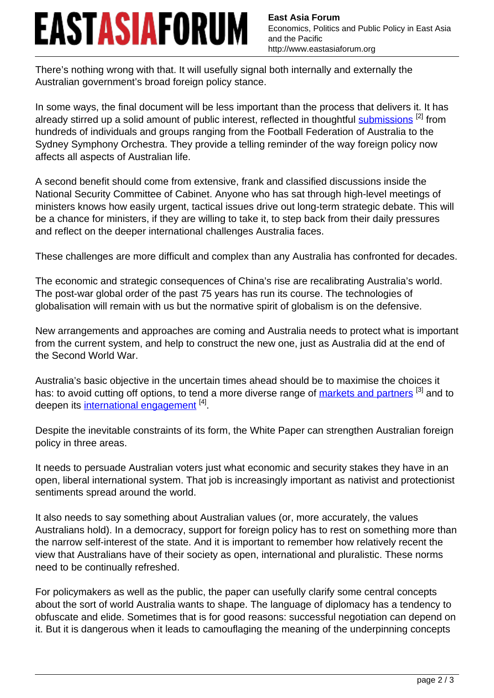## EASTASIAFORUM

**East Asia Forum** Economics, Politics and Public Policy in East Asia and the Pacific http://www.eastasiaforum.org

There's nothing wrong with that. It will usefully signal both internally and externally the Australian government's broad foreign policy stance.

In some ways, the final document will be less important than the process that delivers it. It has already stirred up a solid amount of public interest, reflected in thoughtful [submissions](http://dfat.gov.au/whitepaper/submissions/index.html) [2] from hundreds of individuals and groups ranging from the Football Federation of Australia to the Sydney Symphony Orchestra. They provide a telling reminder of the way foreign policy now affects all aspects of Australian life.

A second benefit should come from extensive, frank and classified discussions inside the National Security Committee of Cabinet. Anyone who has sat through high-level meetings of ministers knows how easily urgent, tactical issues drive out long-term strategic debate. This will be a chance for ministers, if they are willing to take it, to step back from their daily pressures and reflect on the deeper international challenges Australia faces.

These challenges are more difficult and complex than any Australia has confronted for decades.

The economic and strategic consequences of China's rise are recalibrating Australia's world. The post-war global order of the past 75 years has run its course. The technologies of globalisation will remain with us but the normative spirit of globalism is on the defensive.

New arrangements and approaches are coming and Australia needs to protect what is important from the current system, and help to construct the new one, just as Australia did at the end of the Second World War.

Australia's basic objective in the uncertain times ahead should be to maximise the choices it has: to avoid cutting off options, to tend a more diverse range of [markets and partners](http://www.eastasiaforum.org/2017/05/14/will-australia-follow-the-belt-and-road/) [3] and to deepen its <u>international engagement</u> <sup>[4]</sup>.

Despite the inevitable constraints of its form, the White Paper can strengthen Australian foreign policy in three areas.

It needs to persuade Australian voters just what economic and security stakes they have in an open, liberal international system. That job is increasingly important as nativist and protectionist sentiments spread around the world.

It also needs to say something about Australian values (or, more accurately, the values Australians hold). In a democracy, support for foreign policy has to rest on something more than the narrow self-interest of the state. And it is important to remember how relatively recent the view that Australians have of their society as open, international and pluralistic. These norms need to be continually refreshed.

For policymakers as well as the public, the paper can usefully clarify some central concepts about the sort of world Australia wants to shape. The language of diplomacy has a tendency to obfuscate and elide. Sometimes that is for good reasons: successful negotiation can depend on it. But it is dangerous when it leads to camouflaging the meaning of the underpinning concepts